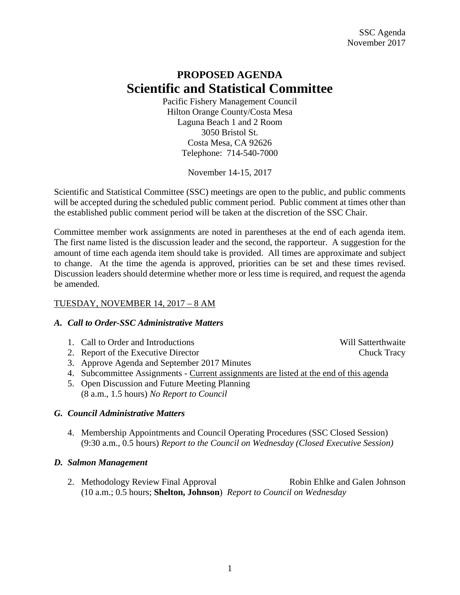# **PROPOSED AGENDA Scientific and Statistical Committee**

Pacific Fishery Management Council Hilton Orange County/Costa Mesa Laguna Beach 1 and 2 Room 3050 Bristol St. Costa Mesa, CA 92626 Telephone: 714-540-7000

November 14-15, 2017

Scientific and Statistical Committee (SSC) meetings are open to the public, and public comments will be accepted during the scheduled public comment period. Public comment at times other than the established public comment period will be taken at the discretion of the SSC Chair.

Committee member work assignments are noted in parentheses at the end of each agenda item. The first name listed is the discussion leader and the second, the rapporteur. A suggestion for the amount of time each agenda item should take is provided. All times are approximate and subject to change. At the time the agenda is approved, priorities can be set and these times revised. Discussion leaders should determine whether more or less time is required, and request the agenda be amended.

### TUESDAY, NOVEMBER 14, 2017 – 8 AM

### *A. Call to Order-SSC Administrative Matters*

- 1. Call to Order and Introductions Will Satterthwaite
- 2. Report of the Executive Director Chuck Tracy
- 3. Approve Agenda and September 2017 Minutes
- 4. Subcommittee Assignments Current assignments are listed at the end of this agenda
- 5. Open Discussion and Future Meeting Planning (8 a.m., 1.5 hours) *No Report to Council*

### *G. Council Administrative Matters*

 4. Membership Appointments and Council Operating Procedures (SSC Closed Session) (9:30 a.m., 0.5 hours) *Report to the Council on Wednesday (Closed Executive Session)* 

### *D. Salmon Management*

2. Methodology Review Final Approval Robin Ehlke and Galen Johnson (10 a.m.; 0.5 hours; **Shelton, Johnson**) *Report to Council on Wednesday*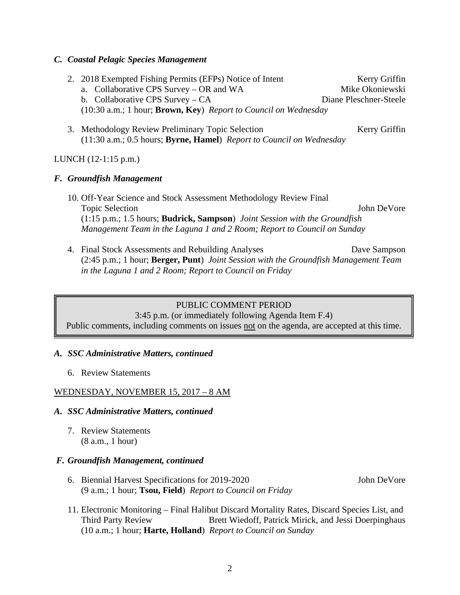#### *C. Coastal Pelagic Species Management*

- 2. 2018 Exempted Fishing Permits (EFPs) Notice of Intent Kerry Griffin a. Collaborative CPS Survey – OR and WA Mike Okoniewski b. Collaborative CPS Survey – CA Diane Pleschner-Steele (10:30 a.m.; 1 hour; **Brown, Key**) *Report to Council on Wednesday*
- 3. Methodology Review Preliminary Topic Selection Kerry Griffin (11:30 a.m.; 0.5 hours; **Byrne, Hamel**) *Report to Council on Wednesday*

### LUNCH (12-1:15 p.m.)

### *F. Groundfish Management*

- 10. Off-Year Science and Stock Assessment Methodology Review Final Topic Selection John DeVore (1:15 p.m.; 1.5 hours; **Budrick, Sampson**) *Joint Session with the Groundfish Management Team in the Laguna 1 and 2 Room; Report to Council on Sunday*
- 4. Final Stock Assessments and Rebuilding Analyses Dave Sampson (2:45 p.m.; 1 hour; **Berger, Punt**) *Joint Session with the Groundfish Management Team in the Laguna 1 and 2 Room; Report to Council on Friday*

#### PUBLIC COMMENT PERIOD

3:45 p.m. (or immediately following Agenda Item F.4) Public comments, including comments on issues not on the agenda, are accepted at this time.

#### *A. SSC Administrative Matters, continued*

6. Review Statements

### WEDNESDAY, NOVEMBER 15, 2017 – 8 AM

#### *A. SSC Administrative Matters, continued*

7. Review Statements (8 a.m., 1 hour)

#### *F. Groundfish Management, continued*

- 6. Biennial Harvest Specifications for 2019-2020 John DeVore (9 a.m.; 1 hour; **Tsou, Field**) *Report to Council on Friday*
- 11. Electronic Monitoring Final Halibut Discard Mortality Rates, Discard Species List, and Third Party Review Brett Wiedoff, Patrick Mirick, and Jessi Doerpinghaus (10 a.m.; 1 hour; **Harte, Holland**) *Report to Council on Sunday*